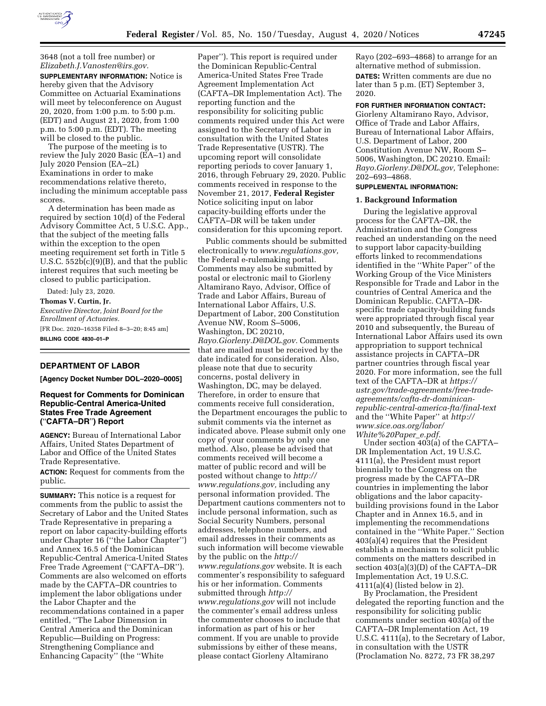

3648 (not a toll free number) or *[Elizabeth.J.Vanosten@irs.gov.](mailto:Elizabeth.J.Vanosten@irs.gov)* 

**SUPPLEMENTARY INFORMATION:** Notice is hereby given that the Advisory Committee on Actuarial Examinations will meet by teleconference on August 20, 2020, from 1:00 p.m. to 5:00 p.m. (EDT) and August 21, 2020, from 1:00 p.m. to 5:00 p.m. (EDT). The meeting will be closed to the public.

The purpose of the meeting is to review the July 2020 Basic (EA–1) and July 2020 Pension (EA–2L) Examinations in order to make recommendations relative thereto, including the minimum acceptable pass scores.

A determination has been made as required by section 10(d) of the Federal Advisory Committee Act, 5 U.S.C. App., that the subject of the meeting falls within the exception to the open meeting requirement set forth in Title 5 U.S.C. 552b(c)(9)(B), and that the public interest requires that such meeting be closed to public participation.

Dated: July 23, 2020.

**Thomas V. Curtin, Jr.**  *Executive Director, Joint Board for the Enrollment of Actuaries.*  [FR Doc. 2020–16358 Filed 8–3–20; 8:45 am] **BILLING CODE 4830–01–P** 

## **DEPARTMENT OF LABOR**

**[Agency Docket Number DOL–2020–0005]** 

## **Request for Comments for Dominican Republic-Central America-United States Free Trade Agreement (**''**CAFTA–DR**''**) Report**

**AGENCY:** Bureau of International Labor Affairs, United States Department of Labor and Office of the United States Trade Representative. **ACTION:** Request for comments from the

public.

**SUMMARY:** This notice is a request for comments from the public to assist the Secretary of Labor and the United States Trade Representative in preparing a report on labor capacity-building efforts under Chapter 16 (''the Labor Chapter'') and Annex 16.5 of the Dominican Republic-Central America-United States Free Trade Agreement (''CAFTA–DR''). Comments are also welcomed on efforts made by the CAFTA–DR countries to implement the labor obligations under the Labor Chapter and the recommendations contained in a paper entitled, ''The Labor Dimension in Central America and the Dominican Republic—Building on Progress: Strengthening Compliance and Enhancing Capacity'' (the ''White

Paper''). This report is required under the Dominican Republic-Central America-United States Free Trade Agreement Implementation Act (CAFTA–DR Implementation Act). The reporting function and the responsibility for soliciting public comments required under this Act were assigned to the Secretary of Labor in consultation with the United States Trade Representative (USTR). The upcoming report will consolidate reporting periods to cover January 1, 2016, through February 29, 2020. Public comments received in response to the November 21, 2017, **Federal Register**  Notice soliciting input on labor capacity-building efforts under the CAFTA–DR will be taken under consideration for this upcoming report.

Public comments should be submitted electronically to *[www.regulations.gov,](http://www.regulations.gov)*  the Federal e-rulemaking portal. Comments may also be submitted by postal or electronic mail to Giorleny Altamirano Rayo, Advisor, Office of Trade and Labor Affairs, Bureau of International Labor Affairs, U.S. Department of Labor, 200 Constitution Avenue NW, Room S–5006, Washington, DC 20210, *[Rayo.Giorleny.D@DOL.gov.](mailto:Rayo.Giorleny.D@DOL.gov)* Comments that are mailed must be received by the date indicated for consideration. Also, please note that due to security concerns, postal delivery in Washington, DC, may be delayed. Therefore, in order to ensure that comments receive full consideration, the Department encourages the public to submit comments via the internet as indicated above. Please submit only one copy of your comments by only one method. Also, please be advised that comments received will become a matter of public record and will be posted without change to *[http://](http://www.regulations.gov) [www.regulations.gov,](http://www.regulations.gov)* including any personal information provided. The Department cautions commenters not to include personal information, such as Social Security Numbers, personal addresses, telephone numbers, and email addresses in their comments as such information will become viewable by the public on the *[http://](http://www.regulations.gov) [www.regulations.gov](http://www.regulations.gov)* website. It is each commenter's responsibility to safeguard his or her information. Comments submitted through *[http://](http://www.regulations.gov) [www.regulations.gov](http://www.regulations.gov)* will not include the commenter's email address unless the commenter chooses to include that information as part of his or her comment. If you are unable to provide submissions by either of these means, please contact Giorleny Altamirano

Rayo (202–693–4868) to arrange for an alternative method of submission. **DATES:** Written comments are due no later than 5 p.m. (ET) September 3, 2020.

# **FOR FURTHER INFORMATION CONTACT:**

Giorleny Altamirano Rayo, Advisor, Office of Trade and Labor Affairs, Bureau of International Labor Affairs, U.S. Department of Labor, 200 Constitution Avenue NW, Room S– 5006, Washington, DC 20210. Email: *[Rayo.Giorleny.D@DOL.gov,](mailto:Rayo.Giorleny.D@DOL.gov)* Telephone: 202–693–4868.

# **SUPPLEMENTAL INFORMATION:**

# **1. Background Information**

During the legislative approval process for the CAFTA–DR, the Administration and the Congress reached an understanding on the need to support labor capacity-building efforts linked to recommendations identified in the ''White Paper'' of the Working Group of the Vice Ministers Responsible for Trade and Labor in the countries of Central America and the Dominican Republic. CAFTA–DRspecific trade capacity-building funds were appropriated through fiscal year 2010 and subsequently, the Bureau of International Labor Affairs used its own appropriation to support technical assistance projects in CAFTA–DR partner countries through fiscal year 2020. For more information, see the full text of the CAFTA–DR at *[https://](https://ustr.gov/trade-agreements/free-trade-agreements/cafta-dr-dominican-republic-central-america-fta/final-text) [ustr.gov/trade-agreements/free-trade](https://ustr.gov/trade-agreements/free-trade-agreements/cafta-dr-dominican-republic-central-america-fta/final-text)[agreements/cafta-dr-dominican](https://ustr.gov/trade-agreements/free-trade-agreements/cafta-dr-dominican-republic-central-america-fta/final-text)[republic-central-america-fta/final-text](https://ustr.gov/trade-agreements/free-trade-agreements/cafta-dr-dominican-republic-central-america-fta/final-text)*  and the ''White Paper'' at *[http://](http://www.sice.oas.org/labor/White%20Paper_e.pdf) [www.sice.oas.org/labor/](http://www.sice.oas.org/labor/White%20Paper_e.pdf) [White%20Paper](http://www.sice.oas.org/labor/White%20Paper_e.pdf)*\_*e.pdf.* 

Under section 403(a) of the CAFTA– DR Implementation Act, 19 U.S.C. 4111(a), the President must report biennially to the Congress on the progress made by the CAFTA–DR countries in implementing the labor obligations and the labor capacitybuilding provisions found in the Labor Chapter and in Annex 16.5, and in implementing the recommendations contained in the ''White Paper.'' Section 403(a)(4) requires that the President establish a mechanism to solicit public comments on the matters described in section 403(a)(3)(D) of the CAFTA–DR Implementation Act, 19 U.S.C. 4111(a)(4) (listed below in 2).

By Proclamation, the President delegated the reporting function and the responsibility for soliciting public comments under section 403(a) of the CAFTA–DR Implementation Act, 19 U.S.C. 4111(a), to the Secretary of Labor, in consultation with the USTR (Proclamation No. 8272, 73 FR 38,297